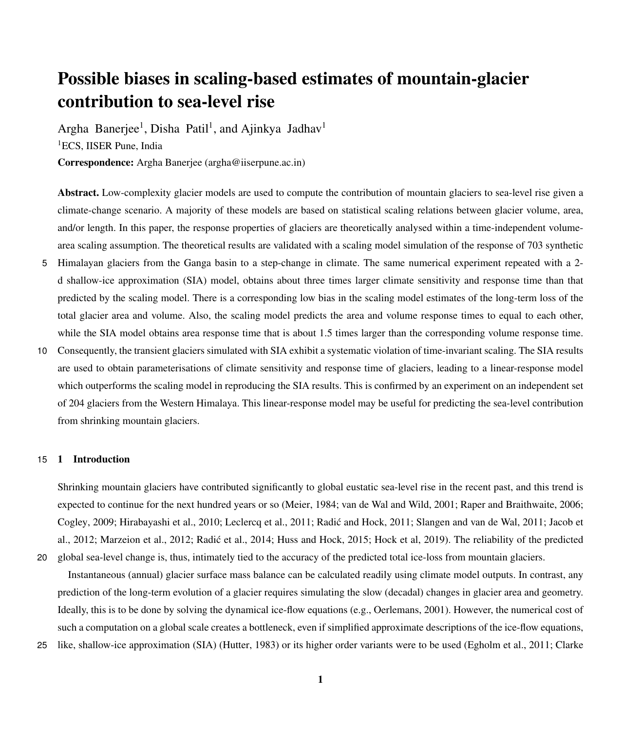# Possible biases in scaling-based estimates of mountain-glacier contribution to sea-level rise

Argha Banerjee<sup>1</sup>, Disha Patil<sup>1</sup>, and Ajinkya Jadhav<sup>1</sup> <sup>1</sup>ECS, IISER Pune, India

Correspondence: Argha Banerjee (argha@iiserpune.ac.in)

Abstract. Low-complexity glacier models are used to compute the contribution of mountain glaciers to sea-level rise given a climate-change scenario. A majority of these models are based on statistical scaling relations between glacier volume, area, and/or length. In this paper, the response properties of glaciers are theoretically analysed within a time-independent volumearea scaling assumption. The theoretical results are validated with a scaling model simulation of the response of 703 synthetic

- 5 Himalayan glaciers from the Ganga basin to a step-change in climate. The same numerical experiment repeated with a 2 d shallow-ice approximation (SIA) model, obtains about three times larger climate sensitivity and response time than that predicted by the scaling model. There is a corresponding low bias in the scaling model estimates of the long-term loss of the total glacier area and volume. Also, the scaling model predicts the area and volume response times to equal to each other, while the SIA model obtains area response time that is about 1.5 times larger than the corresponding volume response time.
- 10 Consequently, the transient glaciers simulated with SIA exhibit a systematic violation of time-invariant scaling. The SIA results are used to obtain parameterisations of climate sensitivity and response time of glaciers, leading to a linear-response model which outperforms the scaling model in reproducing the SIA results. This is confirmed by an experiment on an independent set of 204 glaciers from the Western Himalaya. This linear-response model may be useful for predicting the sea-level contribution from shrinking mountain glaciers.

# 15 1 Introduction

Shrinking mountain glaciers have contributed significantly to global eustatic sea-level rise in the recent past, and this trend is expected to continue for the next hundred years or so [\(Meier, 1984;](#page-18-0) [van de Wal and Wild, 2001;](#page-19-0) [Raper and Braithwaite, 2006;](#page-19-1) [Cogley, 2009;](#page-17-0) [Hirabayashi et al., 2010;](#page-18-1) [Leclercq et al., 2011;](#page-18-2) [Radic and Hock, 2011;](#page-18-3) [Slangen and van de Wal, 2011;](#page-19-2) [Jacob et](#page-18-4) ´ [al., 2012;](#page-18-4) [Marzeion et al., 2012;](#page-18-5) [Radic et al., 2014;](#page-18-6) [Huss and Hock, 2015;](#page-18-7) [Hock et al, 2019\)](#page-18-8). The reliability of the predicted ´ 20 global sea-level change is, thus, intimately tied to the accuracy of the predicted total ice-loss from mountain glaciers.

Instantaneous (annual) glacier surface mass balance can be calculated readily using climate model outputs. In contrast, any prediction of the long-term evolution of a glacier requires simulating the slow (decadal) changes in glacier area and geometry. Ideally, this is to be done by solving the dynamical ice-flow equations (e.g., [Oerlemans, 2001\)](#page-18-9). However, the numerical cost of such a computation on a global scale creates a bottleneck, even if simplified approximate descriptions of the ice-flow equations,

25 [l](#page-17-2)ike, shallow-ice approximation (SIA) [\(Hutter, 1983\)](#page-18-10) or its higher order variants were to be used [\(Egholm et al., 2011;](#page-17-1) [Clarke](#page-17-2)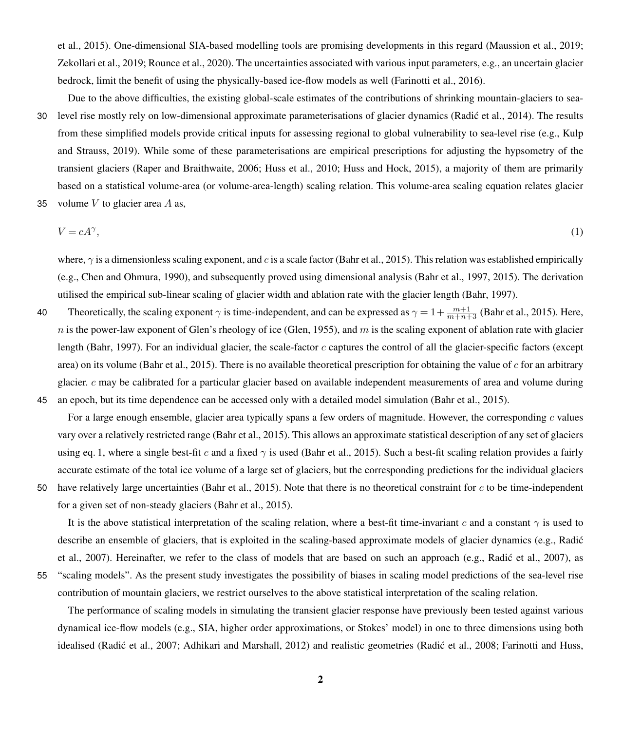[et al., 2015\)](#page-17-2). One-dimensional SIA-based modelling tools are promising developments in this regard [\(Maussion et al., 2019;](#page-17-3) [Zekollari et al., 2019;](#page-19-3) [Rounce et al., 2020\)](#page-19-4). The uncertainties associated with various input parameters, e.g., an uncertain glacier bedrock, limit the benefit of using the physically-based ice-flow models as well [\(Farinotti et al., 2016\)](#page-17-4).

Due to the above difficulties, the existing global-scale estimates of the contributions of shrinking mountain-glaciers to sea-

30 level rise mostly rely on low-dimensional approximate parameterisations of glacier dynamics [\(Radic et al., 2014\)](#page-18-6). The results ´ [f](#page-18-11)rom these simplified models provide critical inputs for assessing regional to global vulnerability to sea-level rise (e.g., [Kulp](#page-18-11) [and Strauss, 2019\)](#page-18-11). While some of these parameterisations are empirical prescriptions for adjusting the hypsometry of the transient glaciers [\(Raper and Braithwaite, 2006;](#page-19-1) [Huss et al., 2010;](#page-18-12) [Huss and Hock, 2015\)](#page-18-7), a majority of them are primarily based on a statistical volume-area (or volume-area-length) scaling relation. This volume-area scaling equation relates glacier

35 volume  $V$  to glacier area  $A$  as,

<span id="page-1-0"></span>
$$
V = cA^{\gamma},\tag{1}
$$

where,  $\gamma$  is a dimensionless scaling exponent, and c is a scale factor [\(Bahr et al., 2015\)](#page-17-5). This relation was established empirically (e.g., [Chen and Ohmura, 1990\)](#page-17-6), and subsequently proved using dimensional analysis [\(Bahr et al., 1997,](#page-17-7) [2015\)](#page-17-5). The derivation utilised the empirical sub-linear scaling of glacier width and ablation rate with the glacier length [\(Bahr, 1997\)](#page-17-8).

40 Theoretically, the scaling exponent  $\gamma$  is time-independent, and can be expressed as  $\gamma = 1 + \frac{m+1}{m+n+3}$  [\(Bahr et al., 2015\)](#page-17-5). Here,  $n$  is the power-law exponent of Glen's rheology of ice [\(Glen, 1955\)](#page-17-9), and  $m$  is the scaling exponent of ablation rate with glacier length [\(Bahr, 1997\)](#page-17-8). For an individual glacier, the scale-factor  $c$  captures the control of all the glacier-specific factors (except area) on its volume [\(Bahr et al., 2015\)](#page-17-5). There is no available theoretical prescription for obtaining the value of  $c$  for an arbitrary glacier. c may be calibrated for a particular glacier based on available independent measurements of area and volume during 45 an epoch, but its time dependence can be accessed only with a detailed model simulation [\(Bahr et al., 2015\)](#page-17-5).

For a large enough ensemble, glacier area typically spans a few orders of magnitude. However, the corresponding c values vary over a relatively restricted range [\(Bahr et al., 2015\)](#page-17-5). This allows an approximate statistical description of any set of glaciers using eq. [1,](#page-1-0) where a single best-fit c and a fixed  $\gamma$  is used [\(Bahr et al., 2015\)](#page-17-5). Such a best-fit scaling relation provides a fairly accurate estimate of the total ice volume of a large set of glaciers, but the corresponding predictions for the individual glaciers

50 have relatively large uncertainties [\(Bahr et al., 2015\)](#page-17-5). Note that there is no theoretical constraint for c to be time-independent for a given set of non-steady glaciers [\(Bahr et al., 2015\)](#page-17-5).

It is the above statistical interpretation of the scaling relation, where a best-fit time-invariant c and a constant  $\gamma$  is used to [d](#page-18-13)escribe an ensemble of glaciers, that is exploited in the scaling-based approximate models of glacier dynamics (e.g., Radić [et al., 2007\)](#page-18-13). Hereinafter, we refer to the class of models that are based on such an approach (e.g., [Radic et al., 2007\)](#page-18-13), as ´ 55 "scaling models". As the present study investigates the possibility of biases in scaling model predictions of the sea-level rise contribution of mountain glaciers, we restrict ourselves to the above statistical interpretation of the scaling relation.

The performance of scaling models in simulating the transient glacier response have previously been tested against various dynamical ice-flow models (e.g., SIA, higher order approximations, or Stokes' model) in one to three dimensions using both idealised (Radić et al., 2007; [Adhikari and Marshall, 2012\)](#page-17-10) and realistic geometries (Radić et al., 2008; [Farinotti and Huss,](#page-17-11)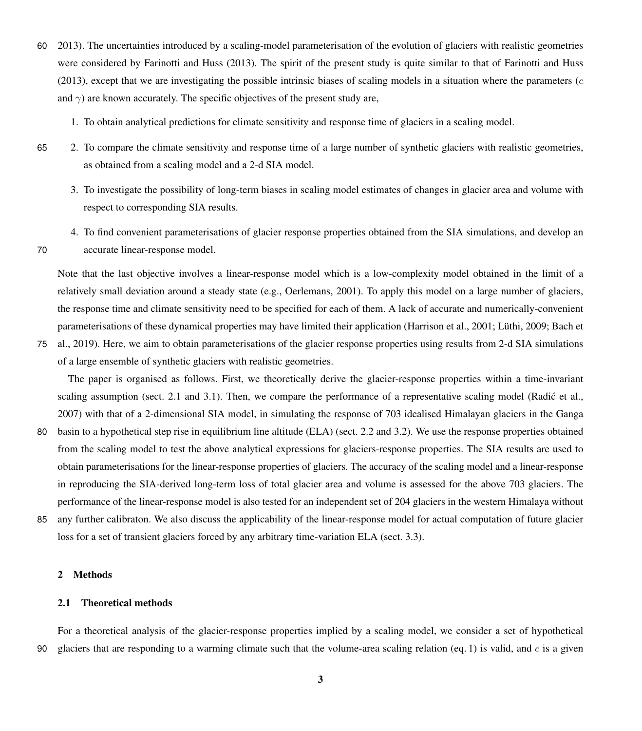- 60 [2013\)](#page-17-11). The uncertainties introduced by a scaling-model parameterisation of the evolution of glaciers with realistic geometries were considered by [Farinotti and Huss](#page-17-11) [\(2013\)](#page-17-11). The spirit of the present study is quite similar to that of [Farinotti and Huss](#page-17-11)  $(2013)$ , except that we are investigating the possible intrinsic biases of scaling models in a situation where the parameters  $(c<sub>c</sub>)$ and  $\gamma$ ) are known accurately. The specific objectives of the present study are,
	- 1. To obtain analytical predictions for climate sensitivity and response time of glaciers in a scaling model.
- 
- 65 2. To compare the climate sensitivity and response time of a large number of synthetic glaciers with realistic geometries, as obtained from a scaling model and a 2-d SIA model.
	- 3. To investigate the possibility of long-term biases in scaling model estimates of changes in glacier area and volume with respect to corresponding SIA results.
- 4. To find convenient parameterisations of glacier response properties obtained from the SIA simulations, and develop an 70 accurate linear-response model.

Note that the last objective involves a linear-response model which is a low-complexity model obtained in the limit of a relatively small deviation around a steady state (e.g., [Oerlemans, 2001\)](#page-18-9). To apply this model on a large number of glaciers, the response time and climate sensitivity need to be specified for each of them. A lack of accurate and numerically-convenient [p](#page-17-13)arameterisations of these dynamical properties may have limited their application [\(Harrison et al., 2001;](#page-17-12) [Lüthi, 2009;](#page-18-15) [Bach et](#page-17-13)

75 [al., 2019\)](#page-17-13). Here, we aim to obtain parameterisations of the glacier response properties using results from 2-d SIA simulations of a large ensemble of synthetic glaciers with realistic geometries.

The paper is organised as follows. First, we theoretically derive the glacier-response properties within a time-invariant scaling assumption (sect. 2.1 and 3.1). Then, we compare the performance of a representative scaling model (Radić et al., [2007\)](#page-18-13) with that of a 2-dimensional SIA model, in simulating the response of 703 idealised Himalayan glaciers in the Ganga

- 80 basin to a hypothetical step rise in equilibrium line altitude (ELA) (sect. 2.2 and 3.2). We use the response properties obtained from the scaling model to test the above analytical expressions for glaciers-response properties. The SIA results are used to obtain parameterisations for the linear-response properties of glaciers. The accuracy of the scaling model and a linear-response in reproducing the SIA-derived long-term loss of total glacier area and volume is assessed for the above 703 glaciers. The performance of the linear-response model is also tested for an independent set of 204 glaciers in the western Himalaya without
- 85 any further calibraton. We also discuss the applicability of the linear-response model for actual computation of future glacier loss for a set of transient glaciers forced by any arbitrary time-variation ELA (sect. 3.3).

# 2 Methods

# 2.1 Theoretical methods

For a theoretical analysis of the glacier-response properties implied by a scaling model, we consider a set of hypothetical 90 glaciers that are responding to a warming climate such that the volume-area scaling relation (eq. [1\)](#page-1-0) is valid, and  $c$  is a given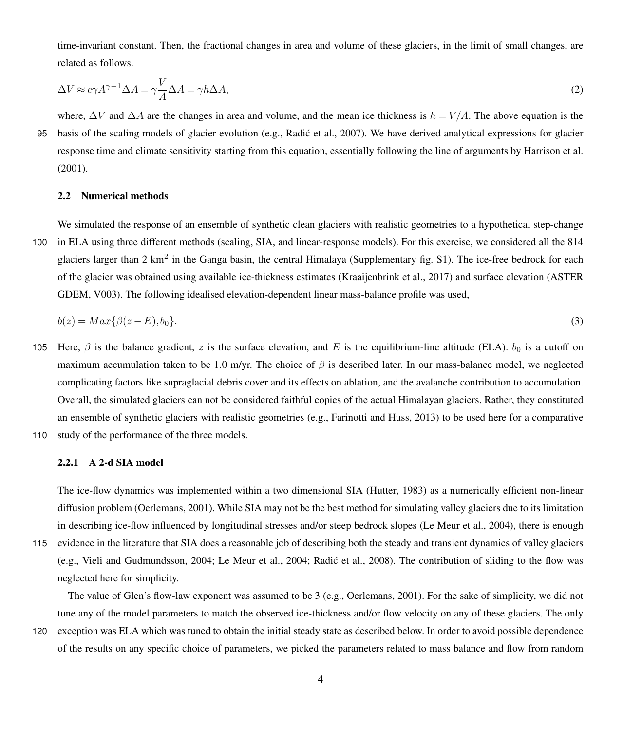<span id="page-3-1"></span>time-invariant constant. Then, the fractional changes in area and volume of these glaciers, in the limit of small changes, are related as follows.

$$
\Delta V \approx c\gamma A^{\gamma - 1} \Delta A = \gamma \frac{V}{A} \Delta A = \gamma h \Delta A,\tag{2}
$$

where,  $\Delta V$  and  $\Delta A$  are the changes in area and volume, and the mean ice thickness is  $h = V/A$ . The above equation is the 95 basis of the scaling models of glacier evolution (e.g., [Radic et al., 2007\)](#page-18-13). We have derived analytical expressions for glacier ´ response time and climate sensitivity starting from this equation, essentially following the line of arguments by [Harrison et al.](#page-17-12) [\(2001\)](#page-17-12).

## 2.2 Numerical methods

We simulated the response of an ensemble of synthetic clean glaciers with realistic geometries to a hypothetical step-change 100 in ELA using three different methods (scaling, SIA, and linear-response models). For this exercise, we considered all the 814 glaciers larger than 2 km<sup>2</sup> in the Ganga basin, the central Himalaya (Supplementary fig. S1). The ice-free bedrock for each [o](#page-17-14)f the glacier was obtained using available ice-thickness estimates [\(Kraaijenbrink et al., 2017\)](#page-18-16) and surface elevation [\(ASTER](#page-17-14) [GDEM, V003\)](#page-17-14). The following idealised elevation-dependent linear mass-balance profile was used,

<span id="page-3-0"></span>
$$
b(z) = Max\{\beta(z - E), b_0\}.\tag{3}
$$

- 105 Here,  $\beta$  is the balance gradient, z is the surface elevation, and E is the equilibrium-line altitude (ELA).  $b_0$  is a cutoff on maximum accumulation taken to be 1.0 m/yr. The choice of  $\beta$  is described later. In our mass-balance model, we neglected complicating factors like supraglacial debris cover and its effects on ablation, and the avalanche contribution to accumulation. Overall, the simulated glaciers can not be considered faithful copies of the actual Himalayan glaciers. Rather, they constituted an ensemble of synthetic glaciers with realistic geometries (e.g., [Farinotti and Huss, 2013\)](#page-17-11) to be used here for a comparative 110 study of the performance of the three models.
- 

## 2.2.1 A 2-d SIA model

The ice-flow dynamics was implemented within a two dimensional SIA [\(Hutter, 1983\)](#page-18-10) as a numerically efficient non-linear diffusion problem [\(Oerlemans, 2001\)](#page-18-9). While SIA may not be the best method for simulating valley glaciers due to its limitation in describing ice-flow influenced by longitudinal stresses and/or steep bedrock slopes [\(Le Meur et al., 2004\)](#page-18-17), there is enough

The value of Glen's flow-law exponent was assumed to be 3 (e.g., [Oerlemans, 2001\)](#page-18-9). For the sake of simplicity, we did not tune any of the model parameters to match the observed ice-thickness and/or flow velocity on any of these glaciers. The only 120 exception was ELA which was tuned to obtain the initial steady state as described below. In order to avoid possible dependence of the results on any specific choice of parameters, we picked the parameters related to mass balance and flow from random

<sup>115</sup> evidence in the literature that SIA does a reasonable job of describing both the steady and transient dynamics of valley glaciers (e.g., [Vieli and Gudmundsson, 2004;](#page-19-5) [Le Meur et al., 2004;](#page-18-17) [Radic et al., 2008\)](#page-18-14). The contribution of sliding to the flow was ´ neglected here for simplicity.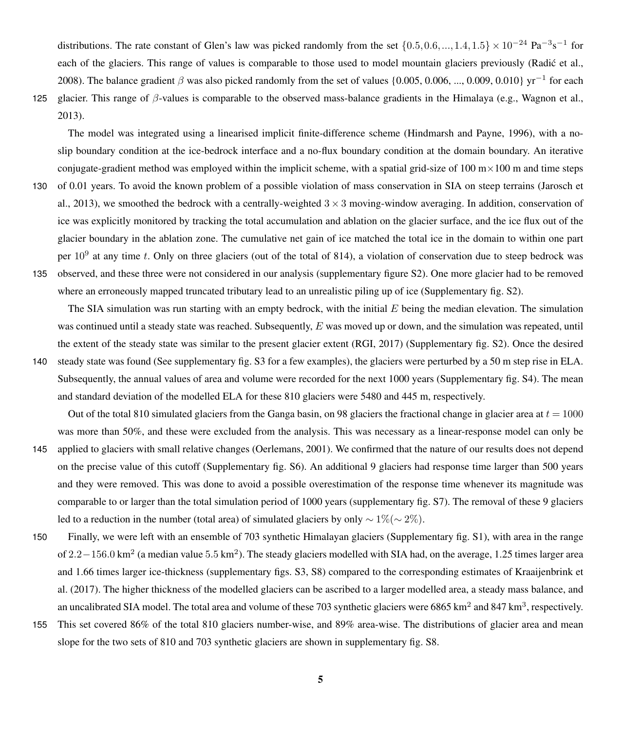distributions. The rate constant of Glen's law was picked randomly from the set  $\{0.5, 0.6, ..., 1.4, 1.5\} \times 10^{-24}$  Pa<sup>-3</sup>s<sup>-1</sup> for each of the glaciers. This range of values is comparable to those used to model mountain glaciers previously [\(Radic et al.,](#page-18-14) [2008\)](#page-18-14). The balance gradient  $\beta$  was also picked randomly from the set of values {0.005, 0.006, ..., 0.009, 0.010} yr<sup>-1</sup> for each 125 glacier. This range of  $\beta$ -values is comparable to the observed mass-balance gradients in the Himalaya (e.g., [Wagnon et al.,](#page-19-6) [2013\)](#page-19-6).

The model was integrated using a linearised implicit finite-difference scheme [\(Hindmarsh and Payne, 1996\)](#page-17-15), with a noslip boundary condition at the ice-bedrock interface and a no-flux boundary condition at the domain boundary. An iterative conjugate-gradient method was employed within the implicit scheme, with a spatial grid-size of  $100 \text{ m} \times 100 \text{ m}$  and time steps 130 [o](#page-18-18)f 0.01 years. To avoid the known problem of a possible violation of mass conservation in SIA on steep terrains [\(Jarosch et](#page-18-18) [al., 2013\)](#page-18-18), we smoothed the bedrock with a centrally-weighted  $3 \times 3$  moving-window averaging. In addition, conservation of ice was explicitly monitored by tracking the total accumulation and ablation on the glacier surface, and the ice flux out of the glacier boundary in the ablation zone. The cumulative net gain of ice matched the total ice in the domain to within one part per  $10^9$  at any time t. Only on three glaciers (out of the total of 814), a violation of conservation due to steep bedrock was 135 observed, and these three were not considered in our analysis (supplementary figure S2). One more glacier had to be removed where an erroneously mapped truncated tributary lead to an unrealistic piling up of ice (Supplementary fig. S2).

The SIA simulation was run starting with an empty bedrock, with the initial  $E$  being the median elevation. The simulation was continued until a steady state was reached. Subsequently, E was moved up or down, and the simulation was repeated, until the extent of the steady state was similar to the present glacier extent [\(RGI, 2017\)](#page-19-7) (Supplementary fig. S2). Once the desired 140 steady state was found (See supplementary fig. S3 for a few examples), the glaciers were perturbed by a 50 m step rise in ELA.

Subsequently, the annual values of area and volume were recorded for the next 1000 years (Supplementary fig. S4). The mean and standard deviation of the modelled ELA for these 810 glaciers were 5480 and 445 m, respectively.

Out of the total 810 simulated glaciers from the Ganga basin, on 98 glaciers the fractional change in glacier area at  $t = 1000$ was more than 50%, and these were excluded from the analysis. This was necessary as a linear-response model can only be

- 145 applied to glaciers with small relative changes [\(Oerlemans, 2001\)](#page-18-9). We confirmed that the nature of our results does not depend on the precise value of this cutoff (Supplementary fig. S6). An additional 9 glaciers had response time larger than 500 years and they were removed. This was done to avoid a possible overestimation of the response time whenever its magnitude was comparable to or larger than the total simulation period of 1000 years (supplementary fig. S7). The removal of these 9 glaciers led to a reduction in the number (total area) of simulated glaciers by only  $\sim 1\%$ ( $\sim 2\%$ ).
- 150 Finally, we were left with an ensemble of 703 synthetic Himalayan glaciers (Supplementary fig. S1), with area in the range of  $2.2-156.0$  km<sup>2</sup> (a median value  $5.5$  km<sup>2</sup>). The steady glaciers modelled with SIA had, on the average, 1.25 times larger area [a](#page-18-16)nd 1.66 times larger ice-thickness (supplementary figs. S3, S8) compared to the corresponding estimates of [Kraaijenbrink et](#page-18-16) [al.](#page-18-16) [\(2017\)](#page-18-16). The higher thickness of the modelled glaciers can be ascribed to a larger modelled area, a steady mass balance, and an uncalibrated SIA model. The total area and volume of these 703 synthetic glaciers were 6865 km<sup>2</sup> and 847 km<sup>3</sup>, respectively.
- 155 This set covered 86% of the total 810 glaciers number-wise, and 89% area-wise. The distributions of glacier area and mean slope for the two sets of 810 and 703 synthetic glaciers are shown in supplementary fig. S8.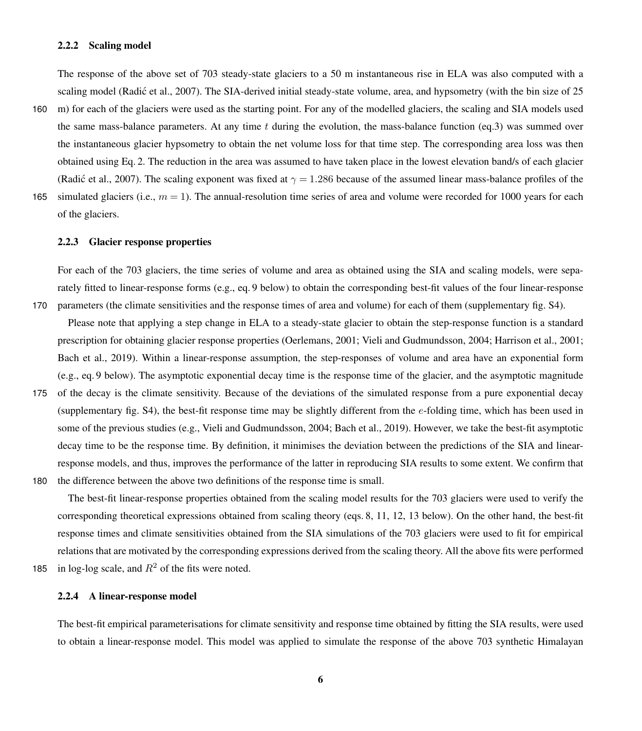## 2.2.2 Scaling model

The response of the above set of 703 steady-state glaciers to a 50 m instantaneous rise in ELA was also computed with a scaling model (Radić et al., 2007). The SIA-derived initial steady-state volume, area, and hypsometry (with the bin size of 25

- 160 m) for each of the glaciers were used as the starting point. For any of the modelled glaciers, the scaling and SIA models used the same mass-balance parameters. At any time t during the evolution, the mass-balance function (eq[.3\)](#page-3-0) was summed over the instantaneous glacier hypsometry to obtain the net volume loss for that time step. The corresponding area loss was then obtained using Eq. [2.](#page-3-1) The reduction in the area was assumed to have taken place in the lowest elevation band/s of each glacier [\(Radic et al., 2007\)](#page-18-13). The scaling exponent was fixed at  $\gamma = 1.286$  because of the assumed linear mass-balance profiles of the
- 165 simulated glaciers (i.e.,  $m = 1$ ). The annual-resolution time series of area and volume were recorded for 1000 years for each of the glaciers.

#### 2.2.3 Glacier response properties

For each of the 703 glaciers, the time series of volume and area as obtained using the SIA and scaling models, were separately fitted to linear-response forms (e.g., eq. [9](#page-7-0) below) to obtain the corresponding best-fit values of the four linear-response 170 parameters (the climate sensitivities and the response times of area and volume) for each of them (supplementary fig. S4).

- Please note that applying a step change in ELA to a steady-state glacier to obtain the step-response function is a standard prescription for obtaining glacier response properties [\(Oerlemans, 2001;](#page-18-9) [Vieli and Gudmundsson, 2004;](#page-19-5) [Harrison et al., 2001;](#page-17-12) [Bach et al., 2019\)](#page-17-13). Within a linear-response assumption, the step-responses of volume and area have an exponential form (e.g., eq. [9](#page-7-0) below). The asymptotic exponential decay time is the response time of the glacier, and the asymptotic magnitude
- 175 of the decay is the climate sensitivity. Because of the deviations of the simulated response from a pure exponential decay (supplementary fig.  $S$ 4), the best-fit response time may be slightly different from the *e*-folding time, which has been used in some of the previous studies (e.g., [Vieli and Gudmundsson, 2004;](#page-19-5) [Bach et al., 2019\)](#page-17-13). However, we take the best-fit asymptotic decay time to be the response time. By definition, it minimises the deviation between the predictions of the SIA and linearresponse models, and thus, improves the performance of the latter in reproducing SIA results to some extent. We confirm that 180 the difference between the above two definitions of the response time is small.
	- The best-fit linear-response properties obtained from the scaling model results for the 703 glaciers were used to verify the corresponding theoretical expressions obtained from scaling theory (eqs. [8,](#page-7-1) [11,](#page-7-2) [12,](#page-8-0) [13](#page-8-1) below). On the other hand, the best-fit response times and climate sensitivities obtained from the SIA simulations of the 703 glaciers were used to fit for empirical relations that are motivated by the corresponding expressions derived from the scaling theory. All the above fits were performed
- 185 in log-log scale, and  $R^2$  of the fits were noted.

#### 2.2.4 A linear-response model

The best-fit empirical parameterisations for climate sensitivity and response time obtained by fitting the SIA results, were used to obtain a linear-response model. This model was applied to simulate the response of the above 703 synthetic Himalayan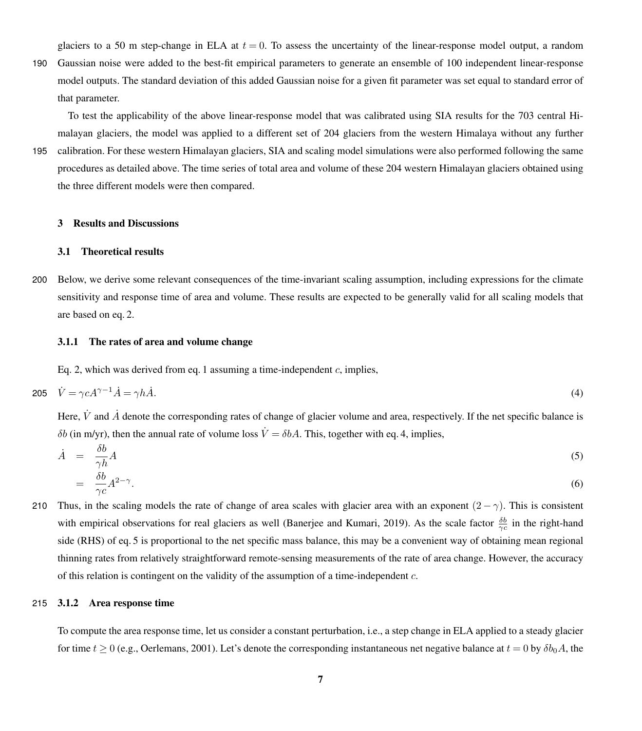glaciers to a 50 m step-change in ELA at  $t = 0$ . To assess the uncertainty of the linear-response model output, a random

190 Gaussian noise were added to the best-fit empirical parameters to generate an ensemble of 100 independent linear-response model outputs. The standard deviation of this added Gaussian noise for a given fit parameter was set equal to standard error of that parameter.

To test the applicability of the above linear-response model that was calibrated using SIA results for the 703 central Himalayan glaciers, the model was applied to a different set of 204 glaciers from the western Himalaya without any further

195 calibration. For these western Himalayan glaciers, SIA and scaling model simulations were also performed following the same procedures as detailed above. The time series of total area and volume of these 204 western Himalayan glaciers obtained using the three different models were then compared.

# 3 Results and Discussions

#### 3.1 Theoretical results

200 Below, we derive some relevant consequences of the time-invariant scaling assumption, including expressions for the climate sensitivity and response time of area and volume. These results are expected to be generally valid for all scaling models that are based on eq. [2.](#page-3-1)

#### 3.1.1 The rates of area and volume change

<span id="page-6-0"></span>Eq. [2,](#page-3-1) which was derived from eq. [1](#page-1-0) assuming a time-independent  $c$ , implies,

$$
205 \quad \dot{V} = \gamma c A^{\gamma - 1} \dot{A} = \gamma h \dot{A}.\tag{4}
$$

Here,  $\dot{V}$  and  $\dot{A}$  denote the corresponding rates of change of glacier volume and area, respectively. If the net specific balance is δb (in m/yr), then the annual rate of volume loss  $\dot{V} = δbA$ . This, together with eq. [4,](#page-6-0) implies,

<span id="page-6-1"></span>
$$
\dot{A} = \frac{\delta b}{\gamma h} A \tag{5}
$$
\n
$$
\delta b \Big|_{A^2 = \gamma} \tag{6}
$$

$$
= \frac{\partial}{\partial c} A^{2-\gamma}.
$$
 (6)

210 Thus, in the scaling models the rate of change of area scales with glacier area with an exponent  $(2 - \gamma)$ . This is consistent with empirical observations for real glaciers as well [\(Banerjee and Kumari, 2019\)](#page-17-16). As the scale factor  $\frac{\delta b}{\gamma c}$  in the right-hand side (RHS) of eq. [5](#page-6-1) is proportional to the net specific mass balance, this may be a convenient way of obtaining mean regional thinning rates from relatively straightforward remote-sensing measurements of the rate of area change. However, the accuracy of this relation is contingent on the validity of the assumption of a time-independent  $c$ .

#### 215 3.1.2 Area response time

To compute the area response time, let us consider a constant perturbation, i.e., a step change in ELA applied to a steady glacier for time  $t \ge 0$  (e.g., [Oerlemans, 2001\)](#page-18-9). Let's denote the corresponding instantaneous net negative balance at  $t = 0$  by  $\delta b_0 A$ , the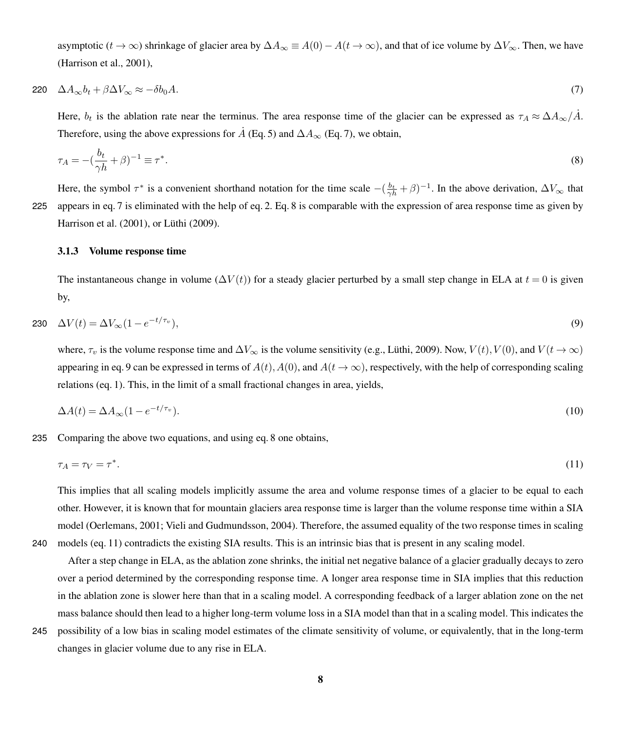<span id="page-7-3"></span>asymptotic ( $t \to \infty$ ) shrinkage of glacier area by  $\Delta A_{\infty} \equiv A(0) - A(t \to \infty)$ , and that of ice volume by  $\Delta V_{\infty}$ . Then, we have [\(Harrison et al., 2001\)](#page-17-12),

$$
220 \quad \Delta A_{\infty} b_t + \beta \Delta V_{\infty} \approx -\delta b_0 A. \tag{7}
$$

Here,  $b_t$  is the ablation rate near the terminus. The area response time of the glacier can be expressed as  $\tau_A \approx \Delta A_\infty / \dot{A}$ . Therefore, using the above expressions for  $\dot{A}$  (Eq. [5\)](#page-6-1) and  $\Delta A_{\infty}$  (Eq. [7\)](#page-7-3), we obtain,

<span id="page-7-1"></span>
$$
\tau_A = -\left(\frac{b_t}{\gamma h} + \beta\right)^{-1} \equiv \tau^*.\tag{8}
$$

Here, the symbol  $\tau^*$  is a convenient shorthand notation for the time scale  $-(\frac{b_t}{\gamma h}+\beta)^{-1}$ . In the above derivation,  $\Delta V_{\infty}$  that 225 appears in eq. [7](#page-7-3) is eliminated with the help of eq. [2.](#page-3-1) Eq. [8](#page-7-1) is comparable with the expression of area response time as given by [Harrison et al.](#page-17-12) [\(2001\)](#page-17-12), or [Lüthi](#page-18-15) [\(2009\)](#page-18-15).

#### 3.1.3 Volume response time

<span id="page-7-0"></span>The instantaneous change in volume ( $\Delta V(t)$ ) for a steady glacier perturbed by a small step change in ELA at  $t = 0$  is given by,

$$
\Delta V(t) = \Delta V_{\infty} (1 - e^{-t/\tau_v}),\tag{9}
$$

where,  $\tau_v$  is the volume response time and  $\Delta V_{\infty}$  is the volume sensitivity (e.g., [Lüthi, 2009\)](#page-18-15). Now,  $V(t)$ ,  $V(0)$ , and  $V(t \to \infty)$ appearing in eq. [9](#page-7-0) can be expressed in terms of  $A(t)$ ,  $A(0)$ , and  $A(t \to \infty)$ , respectively, with the help of corresponding scaling relations (eq. [1\)](#page-1-0). This, in the limit of a small fractional changes in area, yields,

<span id="page-7-2"></span>
$$
\Delta A(t) = \Delta A_{\infty} (1 - e^{-t/\tau_v}). \tag{10}
$$

235 Comparing the above two equations, and using eq. [8](#page-7-1) one obtains,

$$
\tau_A = \tau_V = \tau^*.\tag{11}
$$

This implies that all scaling models implicitly assume the area and volume response times of a glacier to be equal to each other. However, it is known that for mountain glaciers area response time is larger than the volume response time within a SIA model [\(Oerlemans, 2001;](#page-18-9) [Vieli and Gudmundsson, 2004\)](#page-19-5). Therefore, the assumed equality of the two response times in scaling 240 models (eq. [11\)](#page-7-2) contradicts the existing SIA results. This is an intrinsic bias that is present in any scaling model.

After a step change in ELA, as the ablation zone shrinks, the initial net negative balance of a glacier gradually decays to zero over a period determined by the corresponding response time. A longer area response time in SIA implies that this reduction in the ablation zone is slower here than that in a scaling model. A corresponding feedback of a larger ablation zone on the net mass balance should then lead to a higher long-term volume loss in a SIA model than that in a scaling model. This indicates the

245 possibility of a low bias in scaling model estimates of the climate sensitivity of volume, or equivalently, that in the long-term changes in glacier volume due to any rise in ELA.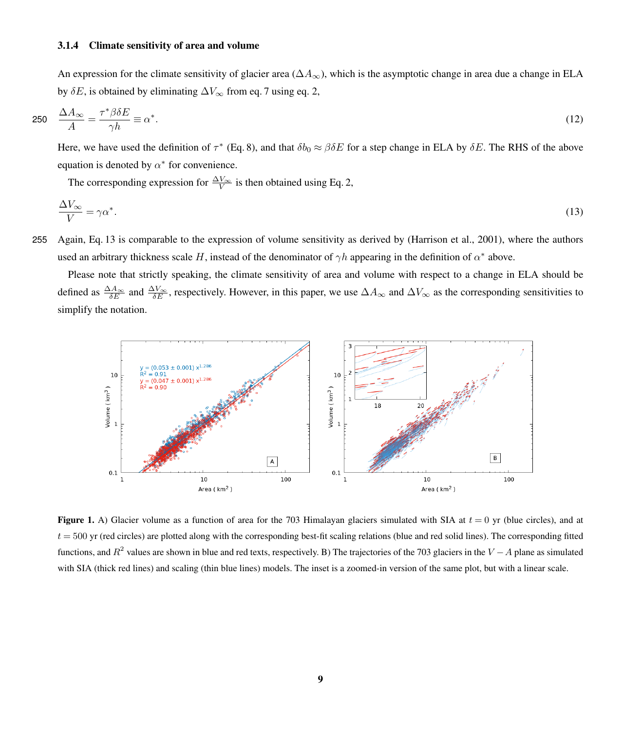## 3.1.4 Climate sensitivity of area and volume

<span id="page-8-0"></span>An expression for the climate sensitivity of glacier area ( $\Delta A_{\infty}$ ), which is the asymptotic change in area due a change in ELA by  $\delta E$ , is obtained by eliminating  $\Delta V_{\infty}$  from eq. [7](#page-7-3) using eq. [2,](#page-3-1)

$$
250 \quad \frac{\Delta A_{\infty}}{A} = \frac{\tau^* \beta \delta E}{\gamma h} \equiv \alpha^*.
$$
\n<sup>(12)</sup>

Here, we have used the definition of  $\tau^*$  (Eq. [8\)](#page-7-1), and that  $\delta b_0 \approx \beta \delta E$  for a step change in ELA by  $\delta E$ . The RHS of the above equation is denoted by  $\alpha^*$  for convenience.

<span id="page-8-1"></span>The corresponding expression for  $\frac{\Delta V_{\infty}}{V}$  is then obtained using Eq. [2,](#page-3-1)

$$
\frac{\Delta V_{\infty}}{V} = \gamma \alpha^*.\tag{13}
$$

255 Again, Eq. [13](#page-8-1) is comparable to the expression of volume sensitivity as derived by [\(Harrison et al., 2001\)](#page-17-12), where the authors used an arbitrary thickness scale H, instead of the denominator of  $\gamma h$  appearing in the definition of  $\alpha^*$  above.

Please note that strictly speaking, the climate sensitivity of area and volume with respect to a change in ELA should be defined as  $\frac{\Delta A_{\infty}}{\delta E}$  and  $\frac{\Delta V_{\infty}}{\delta E}$ , respectively. However, in this paper, we use  $\Delta A_{\infty}$  and  $\Delta V_{\infty}$  as the corresponding sensitivities to simplify the notation.

<span id="page-8-2"></span>

**Figure 1.** A) Glacier volume as a function of area for the 703 Himalayan glaciers simulated with SIA at  $t = 0$  yr (blue circles), and at  $t = 500$  yr (red circles) are plotted along with the corresponding best-fit scaling relations (blue and red solid lines). The corresponding fitted functions, and  $R^2$  values are shown in blue and red texts, respectively. B) The trajectories of the 703 glaciers in the  $V - A$  plane as simulated with SIA (thick red lines) and scaling (thin blue lines) models. The inset is a zoomed-in version of the same plot, but with a linear scale.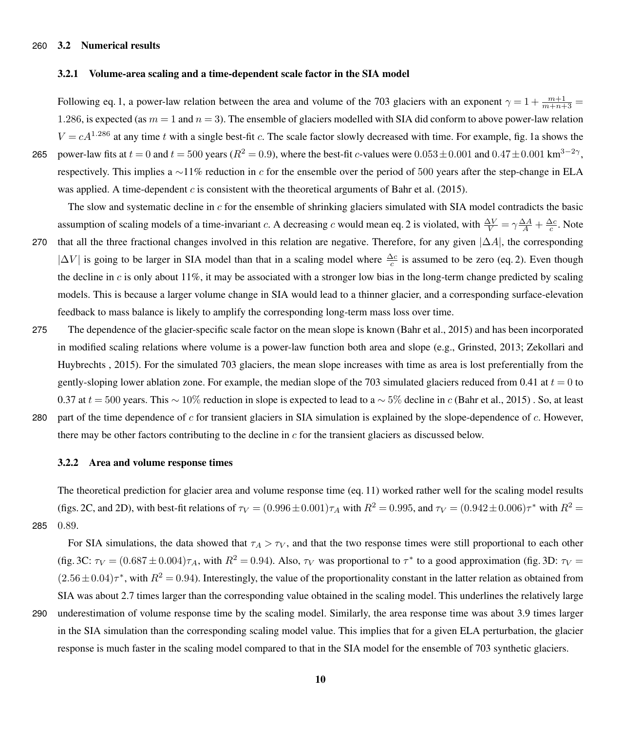## 260 3.2 Numerical results

# 3.2.1 Volume-area scaling and a time-dependent scale factor in the SIA model

Following eq. [1,](#page-1-0) a power-law relation between the area and volume of the 703 glaciers with an exponent  $\gamma = 1 + \frac{m+1}{m+n+3}$ 1.286, is expected (as  $m = 1$  and  $n = 3$ ). The ensemble of glaciers modelled with SIA did conform to above power-law relation  $V = cA^{1.286}$  at any time t with a single best-fit c. The scale factor slowly decreased with time. For example, fig. [1a](#page-8-2) shows the 265 power-law fits at  $t = 0$  and  $t = 500$  years ( $R^2 = 0.9$ ), where the best-fit c-values were  $0.053 \pm 0.001$  and  $0.47 \pm 0.001$  km<sup>3-2</sup><sup>γ</sup>,

respectively. This implies a ∼11% reduction in c for the ensemble over the period of 500 years after the step-change in ELA was applied. A time-dependent c is consistent with the theoretical arguments of [Bahr et al.](#page-17-5) [\(2015\)](#page-17-5).

The slow and systematic decline in  $c$  for the ensemble of shrinking glaciers simulated with SIA model contradicts the basic assumption of scaling models of a time-invariant c. A decreasing c would mean eq. [2](#page-3-1) is violated, with  $\frac{\Delta V}{V} = \gamma \frac{\Delta A}{A} + \frac{\Delta c}{c}$ . Note 270 that all the three fractional changes involved in this relation are negative. Therefore, for any given  $|\Delta A|$ , the corresponding  $|\Delta V|$  is going to be larger in SIA model than that in a scaling model where  $\frac{\Delta c}{c}$  is assumed to be zero (eq. [2\)](#page-3-1). Even though the decline in  $c$  is only about 11%, it may be associated with a stronger low bias in the long-term change predicted by scaling models. This is because a larger volume change in SIA would lead to a thinner glacier, and a corresponding surface-elevation feedback to mass balance is likely to amplify the corresponding long-term mass loss over time.

- 275 The dependence of the glacier-specific scale factor on the mean slope is known [\(Bahr et al., 2015\)](#page-17-5) and has been incorporated [i](#page-19-8)n modified scaling relations where volume is a power-law function both area and slope (e.g., [Grinsted, 2013;](#page-17-17) [Zekollari and](#page-19-8) [Huybrechts , 2015\)](#page-19-8). For the simulated 703 glaciers, the mean slope increases with time as area is lost preferentially from the gently-sloping lower ablation zone. For example, the median slope of the 703 simulated glaciers reduced from 0.41 at  $t = 0$  to 0.37 at  $t = 500$  years. This ~ 10% reduction in slope is expected to lead to a ~ 5% decline in c [\(Bahr et al., 2015\)](#page-17-5). So, at least 280 part of the time dependence of c for transient glaciers in SIA simulation is explained by the slope-dependence of  $c$ . However,
- there may be other factors contributing to the decline in c for the transient glaciers as discussed below.

## 3.2.2 Area and volume response times

The theoretical prediction for glacier area and volume response time (eq. [11\)](#page-7-2) worked rather well for the scaling model results (figs. [2C](#page-10-0), and [2D](#page-10-0)), with best-fit relations of  $\tau_V = (0.996 \pm 0.001)\tau_A$  with  $R^2 = 0.995$ , and  $\tau_V = (0.942 \pm 0.006)\tau^*$  with  $R^2 =$ 285 0.89.

For SIA simulations, the data showed that  $\tau_A > \tau_V$ , and that the two response times were still proportional to each other (fig. [3C](#page-11-0):  $\tau_V = (0.687 \pm 0.004)\tau_A$ , with  $R^2 = 0.94$ ). Also,  $\tau_V$  was proportional to  $\tau^*$  to a good approximation (fig. [3D](#page-11-0):  $\tau_V =$  $(2.56 \pm 0.04)\tau^*$ , with  $R^2 = 0.94$ ). Interestingly, the value of the proportionality constant in the latter relation as obtained from SIA was about 2.7 times larger than the corresponding value obtained in the scaling model. This underlines the relatively large 290 underestimation of volume response time by the scaling model. Similarly, the area response time was about 3.9 times larger in the SIA simulation than the corresponding scaling model value. This implies that for a given ELA perturbation, the glacier response is much faster in the scaling model compared to that in the SIA model for the ensemble of 703 synthetic glaciers.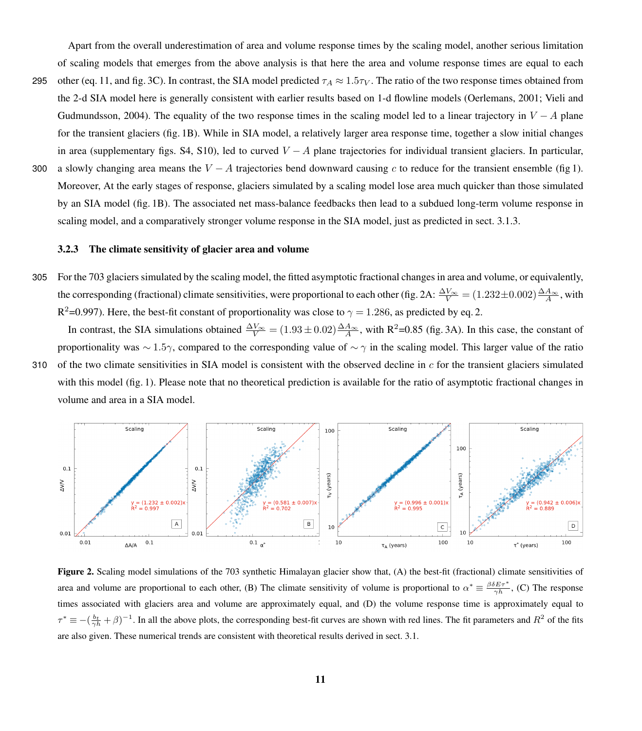Apart from the overall underestimation of area and volume response times by the scaling model, another serious limitation of scaling models that emerges from the above analysis is that here the area and volume response times are equal to each

- 295 other (eq. [11,](#page-7-2) and fig. [3C](#page-11-0)). In contrast, the SIA model predicted  $\tau_A \approx 1.5\tau_V$ . The ratio of the two response times obtained from [t](#page-19-5)he 2-d SIA model here is generally consistent with earlier results based on 1-d flowline models [\(Oerlemans, 2001;](#page-18-9) [Vieli and](#page-19-5) [Gudmundsson, 2004\)](#page-19-5). The equality of the two response times in the scaling model led to a linear trajectory in  $V - A$  plane for the transient glaciers (fig. [1B](#page-8-2)). While in SIA model, a relatively larger area response time, together a slow initial changes in area (supplementary figs. S4, S10), led to curved  $V - A$  plane trajectories for individual transient glaciers. In particular,
- 300 a slowly changing area means the  $V A$  trajectories bend downward causing c to reduce for the transient ensemble (fig [1\)](#page-8-2). Moreover, At the early stages of response, glaciers simulated by a scaling model lose area much quicker than those simulated by an SIA model (fig. [1B](#page-8-2)). The associated net mass-balance feedbacks then lead to a subdued long-term volume response in scaling model, and a comparatively stronger volume response in the SIA model, just as predicted in sect. 3.1.3.

#### 3.2.3 The climate sensitivity of glacier area and volume

305 For the 703 glaciers simulated by the scaling model, the fitted asymptotic fractional changes in area and volume, or equivalently, the corresponding (fractional) climate sensitivities, were proportional to each other (fig. [2A](#page-10-0):  $\frac{\Delta V_{\infty}}{V} = (1.232 \pm 0.002) \frac{\Delta A_{\infty}}{A}$ , with R<sup>2</sup>=0.997). Here, the best-fit constant of proportionality was close to  $\gamma = 1.286$ , as predicted by eq. [2.](#page-3-1)

In contrast, the SIA simulations obtained  $\frac{\Delta V_{\infty}}{V}$  = (1.93 ± 0.02) $\frac{\Delta A_{\infty}}{A}$ , with R<sup>2</sup>=0.85 (fig. [3A](#page-11-0)). In this case, the constant of proportionality was  $\sim 1.5\gamma$ , compared to the corresponding value of  $\sim \gamma$  in the scaling model. This larger value of the ratio 310 of the two climate sensitivities in SIA model is consistent with the observed decline in  $c$  for the transient glaciers simulated with this model (fig. [1\)](#page-8-2). Please note that no theoretical prediction is available for the ratio of asymptotic fractional changes in volume and area in a SIA model.

<span id="page-10-0"></span>

Figure 2. Scaling model simulations of the 703 synthetic Himalayan glacier show that, (A) the best-fit (fractional) climate sensitivities of area and volume are proportional to each other, (B) The climate sensitivity of volume is proportional to  $\alpha^* \equiv \frac{\beta \delta E \tau^*}{\gamma h}$ , (C) The response times associated with glaciers area and volume are approximately equal, and (D) the volume response time is approximately equal to  $\tau^* \equiv -(\frac{b_t}{\gamma h} + \beta)^{-1}$ . In all the above plots, the corresponding best-fit curves are shown with red lines. The fit parameters and  $R^2$  of the fits are also given. These numerical trends are consistent with theoretical results derived in sect. 3.1.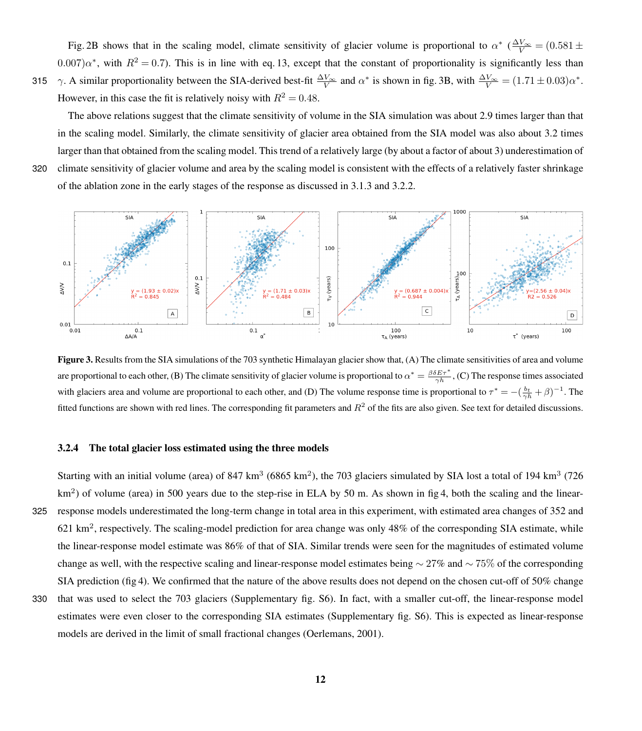Fig. [2B](#page-10-0) shows that in the scaling model, climate sensitivity of glacier volume is proportional to  $\alpha^*$  ( $\frac{\Delta V_{\infty}}{V}$  = (0.581 ±  $(0.007)\alpha^*$ , with  $R^2 = 0.7$ ). This is in line with eq. [13,](#page-8-1) except that the constant of proportionality is significantly less than 315  $\gamma$ . A similar proportionality between the SIA-derived best-fit  $\frac{\Delta V_{\infty}}{V}$  and  $\alpha^*$  is shown in fig. [3B](#page-11-0), with  $\frac{\Delta V_{\infty}}{V} = (1.71 \pm 0.03)\alpha^*$ . However, in this case the fit is relatively noisy with  $R^2 = 0.48$ .

The above relations suggest that the climate sensitivity of volume in the SIA simulation was about 2.9 times larger than that in the scaling model. Similarly, the climate sensitivity of glacier area obtained from the SIA model was also about 3.2 times larger than that obtained from the scaling model. This trend of a relatively large (by about a factor of about 3) underestimation of 320 climate sensitivity of glacier volume and area by the scaling model is consistent with the effects of a relatively faster shrinkage of the ablation zone in the early stages of the response as discussed in 3.1.3 and 3.2.2.

<span id="page-11-0"></span>

Figure 3. Results from the SIA simulations of the 703 synthetic Himalayan glacier show that, (A) The climate sensitivities of area and volume are proportional to each other, (B) The climate sensitivity of glacier volume is proportional to  $\alpha^* = \frac{\beta \delta E \tau^*}{\gamma h}$ , (C) The response times associated with glaciers area and volume are proportional to each other, and (D) The volume response time is proportional to  $\tau^* = -(\frac{b_t}{\gamma h} + \beta)^{-1}$ . The fitted functions are shown with red lines. The corresponding fit parameters and  $R^2$  of the fits are also given. See text for detailed discussions.

# 3.2.4 The total glacier loss estimated using the three models

models are derived in the limit of small fractional changes [\(Oerlemans, 2001\)](#page-18-9).

Starting with an initial volume (area) of 847 km<sup>3</sup> (6865 km<sup>2</sup>), the 703 glaciers simulated by SIA lost a total of 194 km<sup>3</sup> (726  $km<sup>2</sup>$ ) of volume (area) in 500 years due to the step-rise in ELA by 50 m. As shown in fig [4,](#page-13-0) both the scaling and the linear-325 response models underestimated the long-term change in total area in this experiment, with estimated area changes of 352 and 621 km<sup>2</sup>, respectively. The scaling-model prediction for area change was only 48% of the corresponding SIA estimate, while the linear-response model estimate was 86% of that of SIA. Similar trends were seen for the magnitudes of estimated volume change as well, with the respective scaling and linear-response model estimates being  $\sim$  27% and  $\sim$  75% of the corresponding SIA prediction (fig [4\)](#page-13-0). We confirmed that the nature of the above results does not depend on the chosen cut-off of 50% change 330 that was used to select the 703 glaciers (Supplementary fig. S6). In fact, with a smaller cut-off, the linear-response model estimates were even closer to the corresponding SIA estimates (Supplementary fig. S6). This is expected as linear-response

12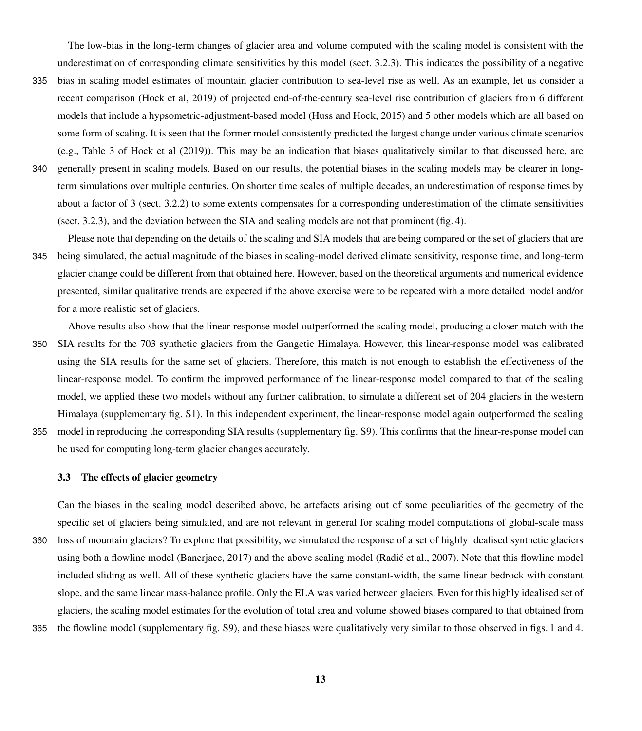The low-bias in the long-term changes of glacier area and volume computed with the scaling model is consistent with the underestimation of corresponding climate sensitivities by this model (sect. 3.2.3). This indicates the possibility of a negative

- 335 bias in scaling model estimates of mountain glacier contribution to sea-level rise as well. As an example, let us consider a recent comparison [\(Hock et al, 2019\)](#page-18-8) of projected end-of-the-century sea-level rise contribution of glaciers from 6 different models that include a hypsometric-adjustment-based model [\(Huss and Hock, 2015\)](#page-18-7) and 5 other models which are all based on some form of scaling. It is seen that the former model consistently predicted the largest change under various climate scenarios (e.g., Table 3 of [Hock et al](#page-18-8) [\(2019\)](#page-18-8)). This may be an indication that biases qualitatively similar to that discussed here, are
- 340 generally present in scaling models. Based on our results, the potential biases in the scaling models may be clearer in longterm simulations over multiple centuries. On shorter time scales of multiple decades, an underestimation of response times by about a factor of 3 (sect. 3.2.2) to some extents compensates for a corresponding underestimation of the climate sensitivities (sect. 3.2.3), and the deviation between the SIA and scaling models are not that prominent (fig. [4\)](#page-13-0).
- Please note that depending on the details of the scaling and SIA models that are being compared or the set of glaciers that are 345 being simulated, the actual magnitude of the biases in scaling-model derived climate sensitivity, response time, and long-term glacier change could be different from that obtained here. However, based on the theoretical arguments and numerical evidence presented, similar qualitative trends are expected if the above exercise were to be repeated with a more detailed model and/or for a more realistic set of glaciers.

Above results also show that the linear-response model outperformed the scaling model, producing a closer match with the 350 SIA results for the 703 synthetic glaciers from the Gangetic Himalaya. However, this linear-response model was calibrated using the SIA results for the same set of glaciers. Therefore, this match is not enough to establish the effectiveness of the linear-response model. To confirm the improved performance of the linear-response model compared to that of the scaling model, we applied these two models without any further calibration, to simulate a different set of 204 glaciers in the western Himalaya (supplementary fig. S1). In this independent experiment, the linear-response model again outperformed the scaling 355 model in reproducing the corresponding SIA results (supplementary fig. S9). This confirms that the linear-response model can

be used for computing long-term glacier changes accurately.

# 3.3 The effects of glacier geometry

Can the biases in the scaling model described above, be artefacts arising out of some peculiarities of the geometry of the specific set of glaciers being simulated, and are not relevant in general for scaling model computations of global-scale mass 360 loss of mountain glaciers? To explore that possibility, we simulated the response of a set of highly idealised synthetic glaciers using both a flowline model [\(Banerjaee, 2017\)](#page-17-18) and the above scaling model [\(Radic et al., 2007\)](#page-18-13). Note that this flowline model included sliding as well. All of these synthetic glaciers have the same constant-width, the same linear bedrock with constant slope, and the same linear mass-balance profile. Only the ELA was varied between glaciers. Even for this highly idealised set of glaciers, the scaling model estimates for the evolution of total area and volume showed biases compared to that obtained from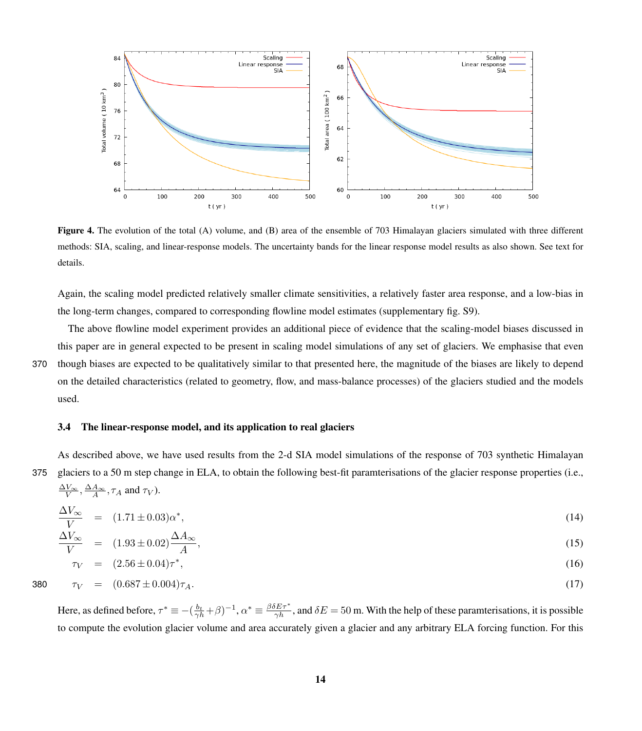<span id="page-13-0"></span>

Figure 4. The evolution of the total (A) volume, and (B) area of the ensemble of 703 Himalayan glaciers simulated with three different methods: SIA, scaling, and linear-response models. The uncertainty bands for the linear response model results as also shown. See text for details.

Again, the scaling model predicted relatively smaller climate sensitivities, a relatively faster area response, and a low-bias in the long-term changes, compared to corresponding flowline model estimates (supplementary fig. S9).

The above flowline model experiment provides an additional piece of evidence that the scaling-model biases discussed in this paper are in general expected to be present in scaling model simulations of any set of glaciers. We emphasise that even 370 though biases are expected to be qualitatively similar to that presented here, the magnitude of the biases are likely to depend on the detailed characteristics (related to geometry, flow, and mass-balance processes) of the glaciers studied and the models used.

#### 3.4 The linear-response model, and its application to real glaciers

As described above, we have used results from the 2-d SIA model simulations of the response of 703 synthetic Himalayan 375 glaciers to a 50 m step change in ELA, to obtain the following best-fit paramterisations of the glacier response properties (i.e.,

 $\frac{\Delta V_{\infty}}{V}, \frac{\Delta A_{\infty}}{A}, \tau_A$  and  $\tau_V$ ).

$$
\frac{\Delta V_{\infty}}{V} = (1.71 \pm 0.03)\alpha^*,\tag{14}
$$

$$
\frac{\Delta V_{\infty}}{V} = (1.93 \pm 0.02) \frac{\Delta A_{\infty}}{A},\tag{15}
$$

$$
\tau_V = (2.56 \pm 0.04)\tau^*,\tag{16}
$$

$$
\tau_V = (0.687 \pm 0.004)\tau_A. \tag{17}
$$

Here, as defined before,  $\tau^* \equiv -(\frac{b_t}{\gamma h} + \beta)^{-1}$ ,  $\alpha^* \equiv \frac{\beta \delta E \tau^*}{\gamma h}$ , and  $\delta E = 50$  m. With the help of these paramterisations, it is possible to compute the evolution glacier volume and area accurately given a glacier and any arbitrary ELA forcing function. For this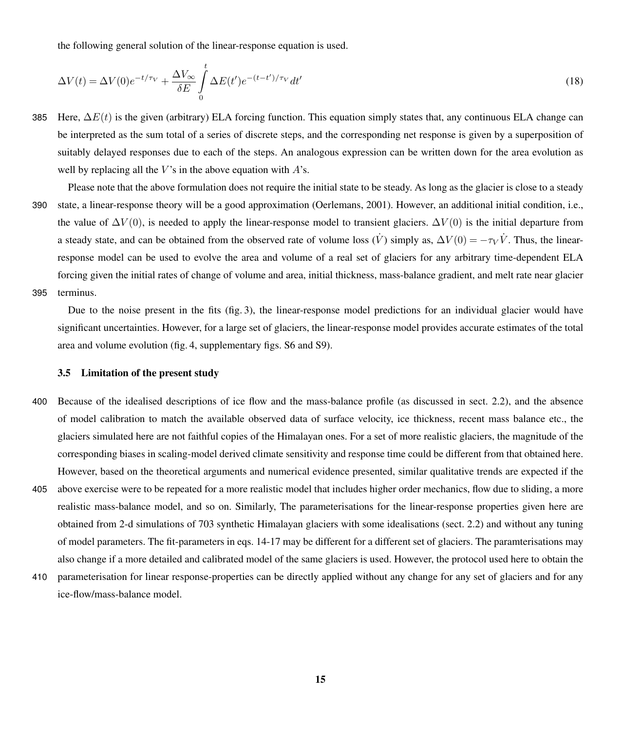the following general solution of the linear-response equation is used.

$$
\Delta V(t) = \Delta V(0)e^{-t/\tau_V} + \frac{\Delta V_{\infty}}{\delta E} \int_{0}^{t} \Delta E(t')e^{-(t-t')/\tau_V}dt'
$$
\n(18)

385 Here,  $\Delta E(t)$  is the given (arbitrary) ELA forcing function. This equation simply states that, any continuous ELA change can be interpreted as the sum total of a series of discrete steps, and the corresponding net response is given by a superposition of suitably delayed responses due to each of the steps. An analogous expression can be written down for the area evolution as well by replacing all the  $V$ 's in the above equation with  $A$ 's.

Please note that the above formulation does not require the initial state to be steady. As long as the glacier is close to a steady 390 state, a linear-response theory will be a good approximation [\(Oerlemans, 2001\)](#page-18-9). However, an additional initial condition, i.e., the value of  $\Delta V(0)$ , is needed to apply the linear-response model to transient glaciers.  $\Delta V(0)$  is the initial departure from a steady state, and can be obtained from the observed rate of volume loss  $(\dot{V})$  simply as,  $\Delta V(0) = -\tau_V \dot{V}$ . Thus, the linearresponse model can be used to evolve the area and volume of a real set of glaciers for any arbitrary time-dependent ELA forcing given the initial rates of change of volume and area, initial thickness, mass-balance gradient, and melt rate near glacier 395 terminus.

Due to the noise present in the fits (fig. [3\)](#page-11-0), the linear-response model predictions for an individual glacier would have significant uncertainties. However, for a large set of glaciers, the linear-response model provides accurate estimates of the total area and volume evolution (fig. [4,](#page-13-0) supplementary figs. S6 and S9).

## 3.5 Limitation of the present study

- 400 Because of the idealised descriptions of ice flow and the mass-balance profile (as discussed in sect. 2.2), and the absence of model calibration to match the available observed data of surface velocity, ice thickness, recent mass balance etc., the glaciers simulated here are not faithful copies of the Himalayan ones. For a set of more realistic glaciers, the magnitude of the corresponding biases in scaling-model derived climate sensitivity and response time could be different from that obtained here. However, based on the theoretical arguments and numerical evidence presented, similar qualitative trends are expected if the
- 405 above exercise were to be repeated for a more realistic model that includes higher order mechanics, flow due to sliding, a more realistic mass-balance model, and so on. Similarly, The parameterisations for the linear-response properties given here are obtained from 2-d simulations of 703 synthetic Himalayan glaciers with some idealisations (sect. 2.2) and without any tuning of model parameters. The fit-parameters in eqs. 14-17 may be different for a different set of glaciers. The paramterisations may also change if a more detailed and calibrated model of the same glaciers is used. However, the protocol used here to obtain the
- 410 parameterisation for linear response-properties can be directly applied without any change for any set of glaciers and for any ice-flow/mass-balance model.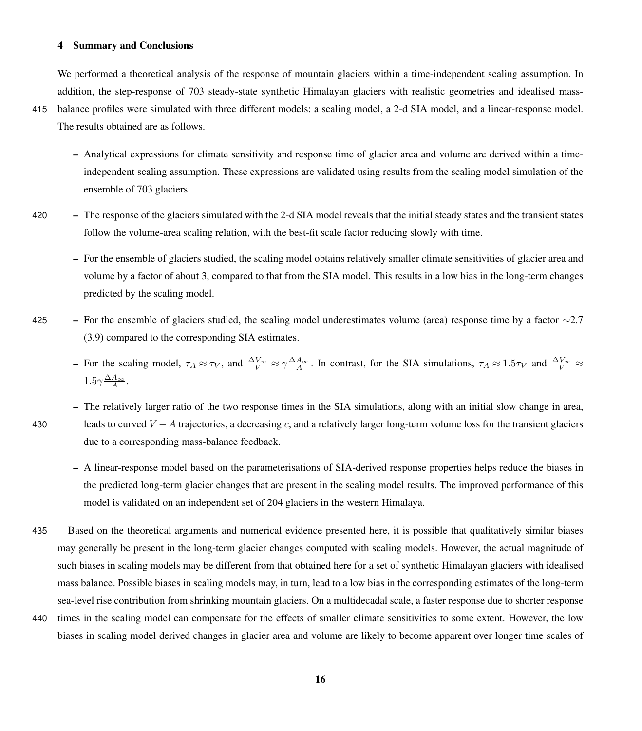# 4 Summary and Conclusions

We performed a theoretical analysis of the response of mountain glaciers within a time-independent scaling assumption. In addition, the step-response of 703 steady-state synthetic Himalayan glaciers with realistic geometries and idealised mass-

- 415 balance profiles were simulated with three different models: a scaling model, a 2-d SIA model, and a linear-response model. The results obtained are as follows.
	- Analytical expressions for climate sensitivity and response time of glacier area and volume are derived within a timeindependent scaling assumption. These expressions are validated using results from the scaling model simulation of the ensemble of 703 glaciers.
- 420 The response of the glaciers simulated with the 2-d SIA model reveals that the initial steady states and the transient states follow the volume-area scaling relation, with the best-fit scale factor reducing slowly with time.
	- For the ensemble of glaciers studied, the scaling model obtains relatively smaller climate sensitivities of glacier area and volume by a factor of about 3, compared to that from the SIA model. This results in a low bias in the long-term changes predicted by the scaling model.
- 425 For the ensemble of glaciers studied, the scaling model underestimates volume (area) response time by a factor  $\sim$ 2.7 (3.9) compared to the corresponding SIA estimates.
	- For the scaling model,  $\tau_A \approx \tau_V$ , and  $\frac{\Delta V_{\infty}}{V} \approx \gamma \frac{\Delta A_{\infty}}{A}$ . In contrast, for the SIA simulations,  $\tau_A \approx 1.5 \tau_V$  and  $\frac{\Delta V_{\infty}}{V} \approx$  $1.5\gamma \frac{\Delta A_{\infty}}{A}$ .

- The relatively larger ratio of the two response times in the SIA simulations, along with an initial slow change in area, 430 leads to curved  $V - A$  trajectories, a decreasing c, and a relatively larger long-term volume loss for the transient glaciers due to a corresponding mass-balance feedback.
	- A linear-response model based on the parameterisations of SIA-derived response properties helps reduce the biases in the predicted long-term glacier changes that are present in the scaling model results. The improved performance of this model is validated on an independent set of 204 glaciers in the western Himalaya.
- 435 Based on the theoretical arguments and numerical evidence presented here, it is possible that qualitatively similar biases may generally be present in the long-term glacier changes computed with scaling models. However, the actual magnitude of such biases in scaling models may be different from that obtained here for a set of synthetic Himalayan glaciers with idealised mass balance. Possible biases in scaling models may, in turn, lead to a low bias in the corresponding estimates of the long-term sea-level rise contribution from shrinking mountain glaciers. On a multidecadal scale, a faster response due to shorter response 440 times in the scaling model can compensate for the effects of smaller climate sensitivities to some extent. However, the low biases in scaling model derived changes in glacier area and volume are likely to become apparent over longer time scales of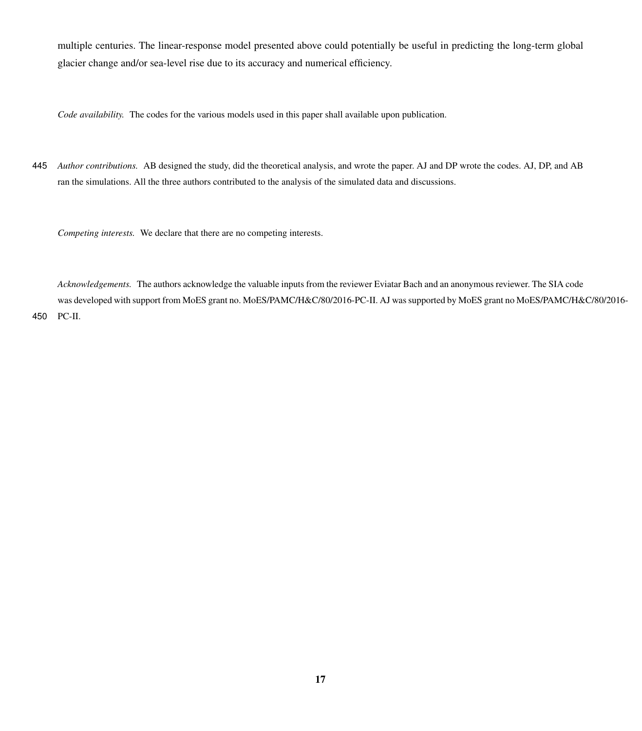multiple centuries. The linear-response model presented above could potentially be useful in predicting the long-term global glacier change and/or sea-level rise due to its accuracy and numerical efficiency.

*Code availability.* The codes for the various models used in this paper shall available upon publication.

445 *Author contributions.* AB designed the study, did the theoretical analysis, and wrote the paper. AJ and DP wrote the codes. AJ, DP, and AB ran the simulations. All the three authors contributed to the analysis of the simulated data and discussions.

*Competing interests.* We declare that there are no competing interests.

*Acknowledgements.* The authors acknowledge the valuable inputs from the reviewer Eviatar Bach and an anonymous reviewer. The SIA code was developed with support from MoES grant no. MoES/PAMC/H&C/80/2016-PC-II. AJ was supported by MoES grant no MoES/PAMC/H&C/80/2016- 450 PC-II.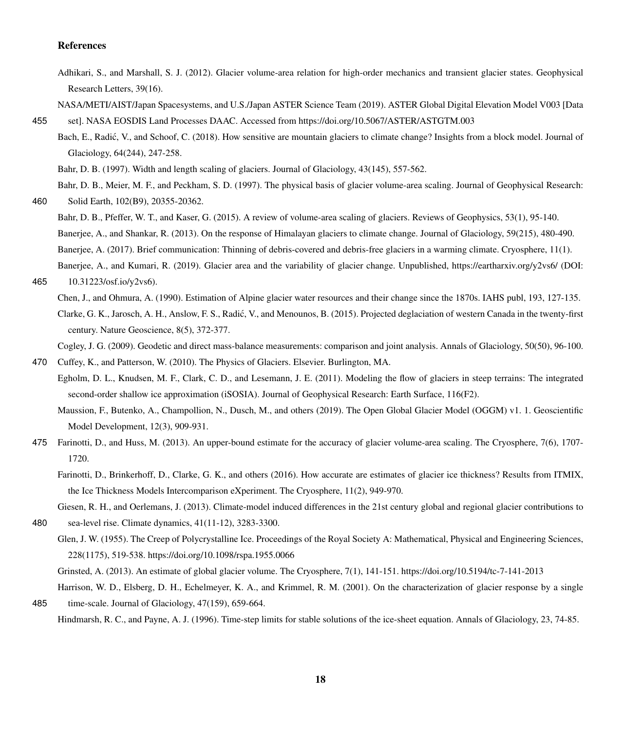## References

- <span id="page-17-10"></span>Adhikari, S., and Marshall, S. J. (2012). Glacier volume-area relation for high-order mechanics and transient glacier states. Geophysical Research Letters, 39(16).
- <span id="page-17-14"></span>NASA/METI/AIST/Japan Spacesystems, and U.S./Japan ASTER Science Team (2019). ASTER Global Digital Elevation Model V003 [Data 455 set]. NASA EOSDIS Land Processes DAAC. Accessed from https://doi.org/10.5067/ASTER/ASTGTM.003
- <span id="page-17-13"></span>Bach, E., Radić, V., and Schoof, C. (2018). How sensitive are mountain glaciers to climate change? Insights from a block model. Journal of Glaciology, 64(244), 247-258.

Bahr, D. B. (1997). Width and length scaling of glaciers. Journal of Glaciology, 43(145), 557-562.

<span id="page-17-8"></span><span id="page-17-7"></span>Bahr, D. B., Meier, M. F., and Peckham, S. D. (1997). The physical basis of glacier volume-area scaling. Journal of Geophysical Research: 460 Solid Earth, 102(B9), 20355-20362.

- <span id="page-17-18"></span><span id="page-17-5"></span>
	- Bahr, D. B., Pfeffer, W. T., and Kaser, G. (2015). A review of volume-area scaling of glaciers. Reviews of Geophysics, 53(1), 95-140. Banerjee, A., and Shankar, R. (2013). On the response of Himalayan glaciers to climate change. Journal of Glaciology, 59(215), 480-490. Banerjee, A. (2017). Brief communication: Thinning of debris-covered and debris-free glaciers in a warming climate. Cryosphere, 11(1). Banerjee, A., and Kumari, R. (2019). Glacier area and the variability of glacier change. Unpublished, https://eartharxiv.org/y2vs6/ (DOI:

```
465 10.31223/osf.io/y2vs6).
```
<span id="page-17-2"></span>Chen, J., and Ohmura, A. (1990). Estimation of Alpine glacier water resources and their change since the 1870s. IAHS publ, 193, 127-135. Clarke, G. K., Jarosch, A. H., Anslow, F. S., Radic, V., and Menounos, B. (2015). Projected deglaciation of western Canada in the twenty-first ´ century. Nature Geoscience, 8(5), 372-377.

<span id="page-17-0"></span>Cogley, J. G. (2009). Geodetic and direct mass-balance measurements: comparison and joint analysis. Annals of Glaciology, 50(50), 96-100.

- <span id="page-17-1"></span>470 Cuffey, K., and Patterson, W. (2010). The Physics of Glaciers. Elsevier. Burlington, MA.
- <span id="page-17-3"></span>Egholm, D. L., Knudsen, M. F., Clark, C. D., and Lesemann, J. E. (2011). Modeling the flow of glaciers in steep terrains: The integrated second-order shallow ice approximation (iSOSIA). Journal of Geophysical Research: Earth Surface, 116(F2).

Maussion, F., Butenko, A., Champollion, N., Dusch, M., and others (2019). The Open Global Glacier Model (OGGM) v1. 1. Geoscientific Model Development, 12(3), 909-931.

- <span id="page-17-11"></span><span id="page-17-4"></span>475 Farinotti, D., and Huss, M. (2013). An upper-bound estimate for the accuracy of glacier volume-area scaling. The Cryosphere, 7(6), 1707- 1720.
	- Farinotti, D., Brinkerhoff, D., Clarke, G. K., and others (2016). How accurate are estimates of glacier ice thickness? Results from ITMIX, the Ice Thickness Models Intercomparison eXperiment. The Cryosphere, 11(2), 949-970.

Giesen, R. H., and Oerlemans, J. (2013). Climate-model induced differences in the 21st century global and regional glacier contributions to

<span id="page-17-9"></span>480 sea-level rise. Climate dynamics, 41(11-12), 3283-3300.

Glen, J. W. (1955). The Creep of Polycrystalline Ice. Proceedings of the Royal Society A: Mathematical, Physical and Engineering Sciences, 228(1175), 519-538. https://doi.org/10.1098/rspa.1955.0066

<span id="page-17-17"></span>Grinsted, A. (2013). An estimate of global glacier volume. The Cryosphere, 7(1), 141-151. https://doi.org/10.5194/tc-7-141-2013

<span id="page-17-15"></span><span id="page-17-12"></span>Harrison, W. D., Elsberg, D. H., Echelmeyer, K. A., and Krimmel, R. M. (2001). On the characterization of glacier response by a single 485 time-scale. Journal of Glaciology, 47(159), 659-664.

Hindmarsh, R. C., and Payne, A. J. (1996). Time-step limits for stable solutions of the ice-sheet equation. Annals of Glaciology, 23, 74-85.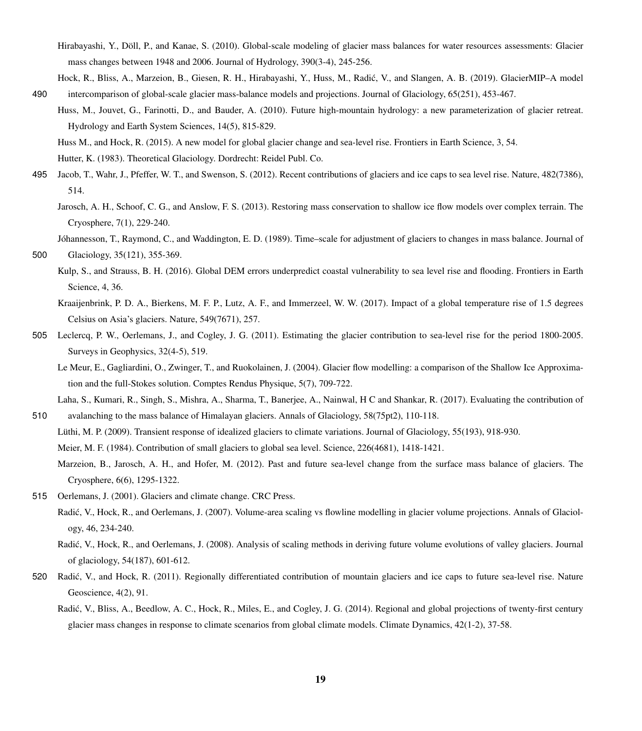- <span id="page-18-1"></span>Hirabayashi, Y., Döll, P., and Kanae, S. (2010). Global-scale modeling of glacier mass balances for water resources assessments: Glacier mass changes between 1948 and 2006. Journal of Hydrology, 390(3-4), 245-256.
- <span id="page-18-12"></span><span id="page-18-8"></span>Hock, R., Bliss, A., Marzeion, B., Giesen, R. H., Hirabayashi, Y., Huss, M., Radic, V., and Slangen, A. B. (2019). GlacierMIP–A model ´ 490 intercomparison of global-scale glacier mass-balance models and projections. Journal of Glaciology, 65(251), 453-467.
	- Huss, M., Jouvet, G., Farinotti, D., and Bauder, A. (2010). Future high-mountain hydrology: a new parameterization of glacier retreat. Hydrology and Earth System Sciences, 14(5), 815-829.
		- Huss M., and Hock, R. (2015). A new model for global glacier change and sea-level rise. Frontiers in Earth Science, 3, 54.

<span id="page-18-7"></span>Hutter, K. (1983). Theoretical Glaciology. Dordrecht: Reidel Publ. Co.

- <span id="page-18-18"></span><span id="page-18-10"></span><span id="page-18-4"></span>495 Jacob, T., Wahr, J., Pfeffer, W. T., and Swenson, S. (2012). Recent contributions of glaciers and ice caps to sea level rise. Nature, 482(7386), 514.
	- Jarosch, A. H., Schoof, C. G., and Anslow, F. S. (2013). Restoring mass conservation to shallow ice flow models over complex terrain. The Cryosphere, 7(1), 229-240.
	- Jóhannesson, T., Raymond, C., and Waddington, E. D. (1989). Time–scale for adjustment of glaciers to changes in mass balance. Journal of

- <span id="page-18-16"></span>Kulp, S., and Strauss, B. H. (2016). Global DEM errors underpredict coastal vulnerability to sea level rise and flooding. Frontiers in Earth Science, 4, 36.
	- Kraaijenbrink, P. D. A., Bierkens, M. F. P., Lutz, A. F., and Immerzeel, W. W. (2017). Impact of a global temperature rise of 1.5 degrees Celsius on Asia's glaciers. Nature, 549(7671), 257.
- <span id="page-18-17"></span><span id="page-18-2"></span>505 Leclercq, P. W., Oerlemans, J., and Cogley, J. G. (2011). Estimating the glacier contribution to sea-level rise for the period 1800-2005. Surveys in Geophysics, 32(4-5), 519.
	- Le Meur, E., Gagliardini, O., Zwinger, T., and Ruokolainen, J. (2004). Glacier flow modelling: a comparison of the Shallow Ice Approximation and the full-Stokes solution. Comptes Rendus Physique, 5(7), 709-722.
- <span id="page-18-15"></span>Laha, S., Kumari, R., Singh, S., Mishra, A., Sharma, T., Banerjee, A., Nainwal, H C and Shankar, R. (2017). Evaluating the contribution of 510 avalanching to the mass balance of Himalayan glaciers. Annals of Glaciology, 58(75pt2), 110-118.
	- Lüthi, M. P. (2009). Transient response of idealized glaciers to climate variations. Journal of Glaciology, 55(193), 918-930.

<span id="page-18-5"></span><span id="page-18-0"></span>Meier, M. F. (1984). Contribution of small glaciers to global sea level. Science, 226(4681), 1418-1421.

- Marzeion, B., Jarosch, A. H., and Hofer, M. (2012). Past and future sea-level change from the surface mass balance of glaciers. The Cryosphere, 6(6), 1295-1322.
- <span id="page-18-14"></span><span id="page-18-13"></span><span id="page-18-9"></span>515 Oerlemans, J. (2001). Glaciers and climate change. CRC Press.
	- Radić, V., Hock, R., and Oerlemans, J. (2007). Volume-area scaling vs flowline modelling in glacier volume projections. Annals of Glaciology, 46, 234-240.
	- Radic, V., Hock, R., and Oerlemans, J. (2008). Analysis of scaling methods in deriving future volume evolutions of valley glaciers. Journal ´ of glaciology, 54(187), 601-612.
- <span id="page-18-6"></span><span id="page-18-3"></span>520 Radic, V., and Hock, R. (2011). Regionally differentiated contribution of mountain glaciers and ice caps to future sea-level rise. Nature ´ Geoscience, 4(2), 91.
	- Radic, V., Bliss, A., Beedlow, A. C., Hock, R., Miles, E., and Cogley, J. G. (2014). Regional and global projections of twenty-first century ´ glacier mass changes in response to climate scenarios from global climate models. Climate Dynamics, 42(1-2), 37-58.

<span id="page-18-11"></span><sup>500</sup> Glaciology, 35(121), 355-369.